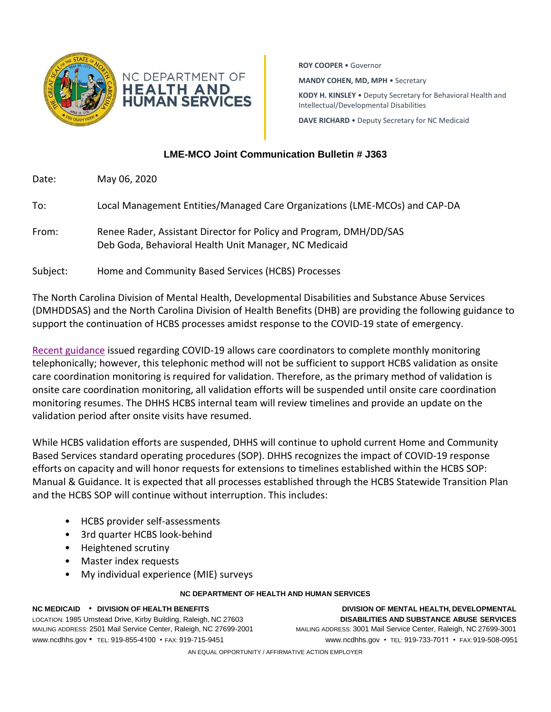

**ROY COOPER** • Governor

**MANDY COHEN, MD, MPH** • Secretary

**KODY H. KINSLEY** • Deputy Secretary for Behavioral Health and Intellectual/Developmental Disabilities

**DAVE RICHARD** • Deputy Secretary for NC Medicaid

## **LME-MCO Joint Communication Bulletin # J363**

Date: May 06, 2020

To: Local Management Entities/Managed Care Organizations (LME-MCOs) and CAP-DA

From: Renee Rader, Assistant Director for Policy and Program, DMH/DD/SAS Deb Goda, Behavioral Health Unit Manager, NC Medicaid

Subject: Home and Community Based Services (HCBS) Processes

The North Carolina Division of Mental Health, Developmental Disabilities and Substance Abuse Services (DMHDDSAS) and the North Carolina Division of Health Benefits (DHB) are providing the following guidance to support the continuation of HCBS processes amidst response to the COVID-19 state of emergency.

[Recent guidance](https://medicaid.ncdhhs.gov/about-us/covid-19-guidance-and-resources/providers/covid-19-policy-flexibilities) issued regarding COVID-19 allows care coordinators to complete monthly monitoring telephonically; however, this telephonic method will not be sufficient to support HCBS validation as onsite care coordination monitoring is required for validation. Therefore, as the primary method of validation is onsite care coordination monitoring, all validation efforts will be suspended until onsite care coordination monitoring resumes. The DHHS HCBS internal team will review timelines and provide an update on the validation period after onsite visits have resumed.

While HCBS validation efforts are suspended, DHHS will continue to uphold current Home and Community Based Services standard operating procedures (SOP). DHHS recognizes the impact of COVID-19 response efforts on capacity and will honor requests for extensions to timelines established within the HCBS SOP: Manual & Guidance. It is expected that all processes established through the HCBS Statewide Transition Plan and the HCBS SOP will continue without interruption. This includes:

- HCBS provider self-assessments
- 3rd quarter HCBS look-behind
- Heightened scrutiny
- Master index requests
- My individual experience (MIE) surveys

## **NC DEPARTMENT OF HEALTH AND HUMAN SERVICES**

**NC MEDICAID** • **DIVISION OF HEALTH BENEFITS DIVISION OF MENTAL HEALTH, DEVELOPMENTAL** LOCATION: 1985 Umstead Drive, Kirby Building, Raleigh, NC 27603 **DISABILITIES AND SUBSTANCE ABUSE SERVICES** MAILING ADDRESS: 2501 Mail Service Center, Raleigh, NC 27699-2001 MAILING ADDRESS: 3001 Mail Service Center, Raleigh, NC 27699-3001 [www.ncdhhs.gov](http://www.ncdhhs.gov/) • TEL: 919-855-4100 • FAX: 919-715-9451 www.ncdhhs.gov • TEL: 919-733-7011 • FAX:919-508-0951

AN EQUAL OPPORTUNITY / AFFIRMATIVE ACTION EMPLOYER